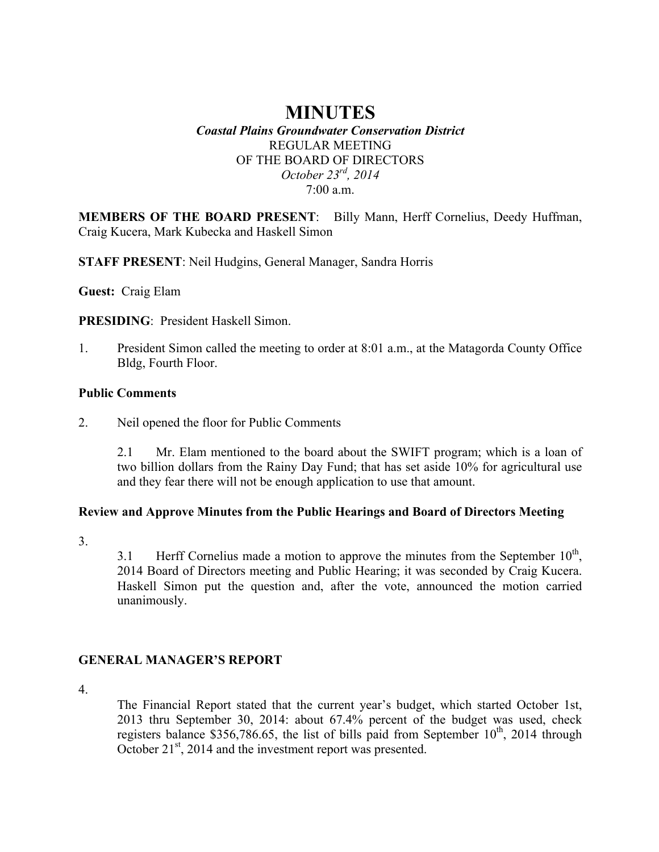# **MINUTES**

#### *Coastal Plains Groundwater Conservation District* REGULAR MEETING OF THE BOARD OF DIRECTORS *October 23rd, 2014* 7:00 a.m.

**MEMBERS OF THE BOARD PRESENT**: Billy Mann, Herff Cornelius, Deedy Huffman, Craig Kucera, Mark Kubecka and Haskell Simon

**STAFF PRESENT**: Neil Hudgins, General Manager, Sandra Horris

**Guest:** Craig Elam

**PRESIDING**: President Haskell Simon.

1. President Simon called the meeting to order at 8:01 a.m., at the Matagorda County Office Bldg, Fourth Floor.

#### **Public Comments**

2. Neil opened the floor for Public Comments

2.1 Mr. Elam mentioned to the board about the SWIFT program; which is a loan of two billion dollars from the Rainy Day Fund; that has set aside 10% for agricultural use and they fear there will not be enough application to use that amount.

#### **Review and Approve Minutes from the Public Hearings and Board of Directors Meeting**

3.

3.1 Herff Cornelius made a motion to approve the minutes from the September  $10<sup>th</sup>$ , 2014 Board of Directors meeting and Public Hearing; it was seconded by Craig Kucera. Haskell Simon put the question and, after the vote, announced the motion carried unanimously.

### **GENERAL MANAGER'S REPORT**

4.

The Financial Report stated that the current year's budget, which started October 1st, 2013 thru September 30, 2014: about 67.4% percent of the budget was used, check registers balance \$356,786.65, the list of bills paid from September  $10^{th}$ , 2014 through October 21<sup>st</sup>, 2014 and the investment report was presented.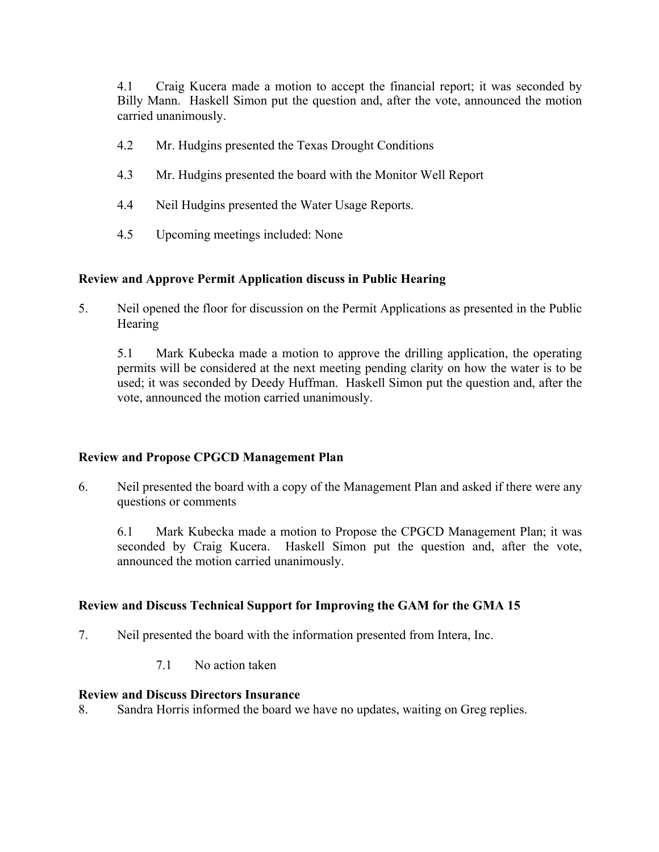4.1 Craig Kucera made a motion to accept the financial report; it was seconded by Billy Mann. Haskell Simon put the question and, after the vote, announced the motion carried unanimously.

- 4.2 Mr. Hudgins presented the Texas Drought Conditions
- 4.3 Mr. Hudgins presented the board with the Monitor Well Report
- 4.4 Neil Hudgins presented the Water Usage Reports.
- 4.5 Upcoming meetings included: None

#### **Review and Approve Permit Application discuss in Public Hearing**

5. Neil opened the floor for discussion on the Permit Applications as presented in the Public Hearing

5.1 Mark Kubecka made a motion to approve the drilling application, the operating permits will be considered at the next meeting pending clarity on how the water is to be used; it was seconded by Deedy Huffman. Haskell Simon put the question and, after the vote, announced the motion carried unanimously.

#### **Review and Propose CPGCD Management Plan**

6. Neil presented the board with a copy of the Management Plan and asked if there were any questions or comments

6.1 Mark Kubecka made a motion to Propose the CPGCD Management Plan; it was seconded by Craig Kucera. Haskell Simon put the question and, after the vote, announced the motion carried unanimously.

#### **Review and Discuss Technical Support for Improving the GAM for the GMA 15**

- 7. Neil presented the board with the information presented from Intera, Inc.
	- 7.1 No action taken

#### **Review and Discuss Directors Insurance**

8. Sandra Horris informed the board we have no updates, waiting on Greg replies.